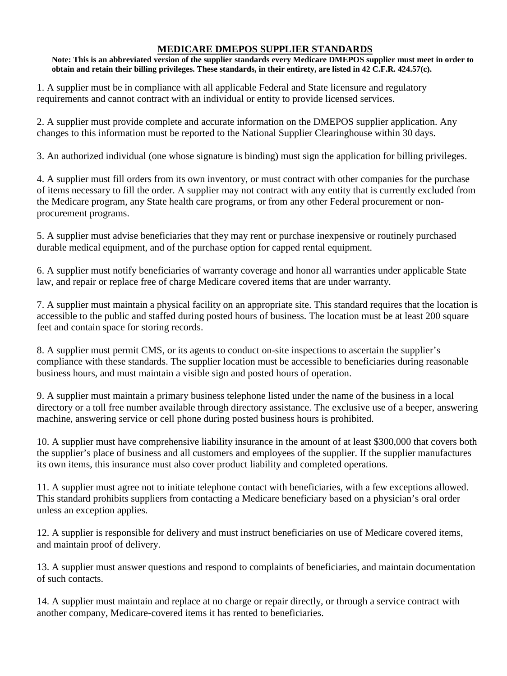## **MEDICARE DMEPOS SUPPLIER STANDARDS**

**Note: This is an abbreviated version of the supplier standards every Medicare DMEPOS supplier must meet in order to obtain and retain their billing privileges. These standards, in their entirety, are listed in 42 C.F.R. 424.57(c).** 

1. A supplier must be in compliance with all applicable Federal and State licensure and regulatory requirements and cannot contract with an individual or entity to provide licensed services.

2. A supplier must provide complete and accurate information on the DMEPOS supplier application. Any changes to this information must be reported to the National Supplier Clearinghouse within 30 days.

3. An authorized individual (one whose signature is binding) must sign the application for billing privileges.

4. A supplier must fill orders from its own inventory, or must contract with other companies for the purchase of items necessary to fill the order. A supplier may not contract with any entity that is currently excluded from the Medicare program, any State health care programs, or from any other Federal procurement or nonprocurement programs.

5. A supplier must advise beneficiaries that they may rent or purchase inexpensive or routinely purchased durable medical equipment, and of the purchase option for capped rental equipment.

6. A supplier must notify beneficiaries of warranty coverage and honor all warranties under applicable State law, and repair or replace free of charge Medicare covered items that are under warranty.

7. A supplier must maintain a physical facility on an appropriate site. This standard requires that the location is accessible to the public and staffed during posted hours of business. The location must be at least 200 square feet and contain space for storing records.

8. A supplier must permit CMS, or its agents to conduct on-site inspections to ascertain the supplier's compliance with these standards. The supplier location must be accessible to beneficiaries during reasonable business hours, and must maintain a visible sign and posted hours of operation.

9. A supplier must maintain a primary business telephone listed under the name of the business in a local directory or a toll free number available through directory assistance. The exclusive use of a beeper, answering machine, answering service or cell phone during posted business hours is prohibited.

10. A supplier must have comprehensive liability insurance in the amount of at least \$300,000 that covers both the supplier's place of business and all customers and employees of the supplier. If the supplier manufactures its own items, this insurance must also cover product liability and completed operations.

11. A supplier must agree not to initiate telephone contact with beneficiaries, with a few exceptions allowed. This standard prohibits suppliers from contacting a Medicare beneficiary based on a physician's oral order unless an exception applies.

12. A supplier is responsible for delivery and must instruct beneficiaries on use of Medicare covered items, and maintain proof of delivery.

13. A supplier must answer questions and respond to complaints of beneficiaries, and maintain documentation of such contacts.

14. A supplier must maintain and replace at no charge or repair directly, or through a service contract with another company, Medicare-covered items it has rented to beneficiaries.